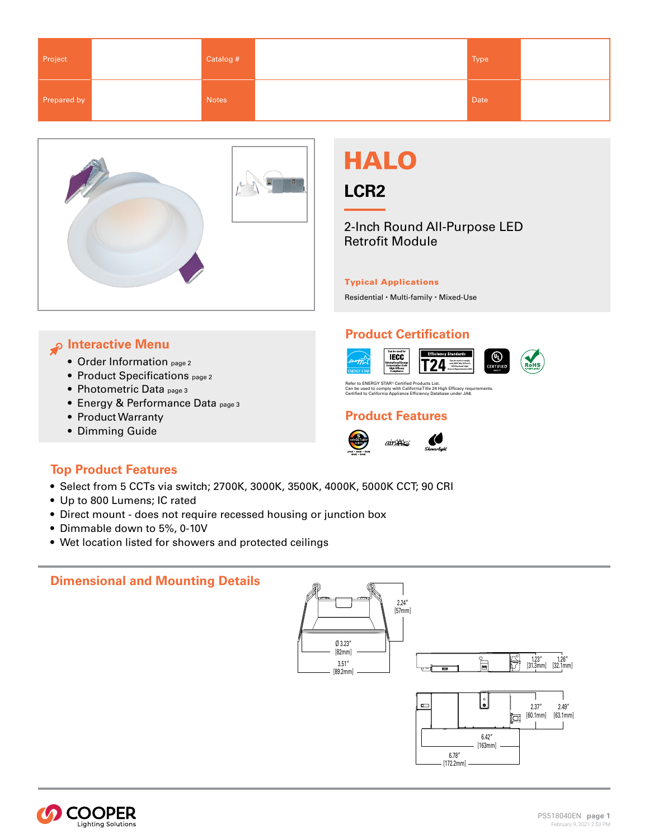| Project     | Catalog # | Type |  |
|-------------|-----------|------|--|
| Prepared by | Notes     | Date |  |



# *P* Interactive Menu

- [Order Information page 2](#page-1-0)
- Product Specification[s page 2](#page-1-0)
- [Photometric Data page 3](#page-2-0)
- Energy & Performanc[e Data page 3](#page-2-0)
- [Product Warranty](http://www.cooperlighting.com/legal)
- [Dimming Guide](https://www.cooperlighting.com/content/dam/cooper-lighting/brands/halo/technical-specifications/halo-lcr-dimming-tss.pdf)

# **Top Product Features**





2-Inch Round All-Purpose LED Retrofit Module

### Typical Applications

Residential • Multi-family • Mixed-Use

## **Product Certification**





⊕

Refer to ENERGY STAR® Certified Products List.<br>Can be used to comply with California Title 24 High Efficacy requirements.<br>Certified to California Appliance Efficiency Database under JA8.

### **Product Features**







- Up to 800 Lumens; IC rated
- Direct mount does not require recessed housing or junction box
- Dimmable down to 5%, 0-10V
- Wet location listed for showers and protected ceilings

# **Dimensional and Mounting Details**



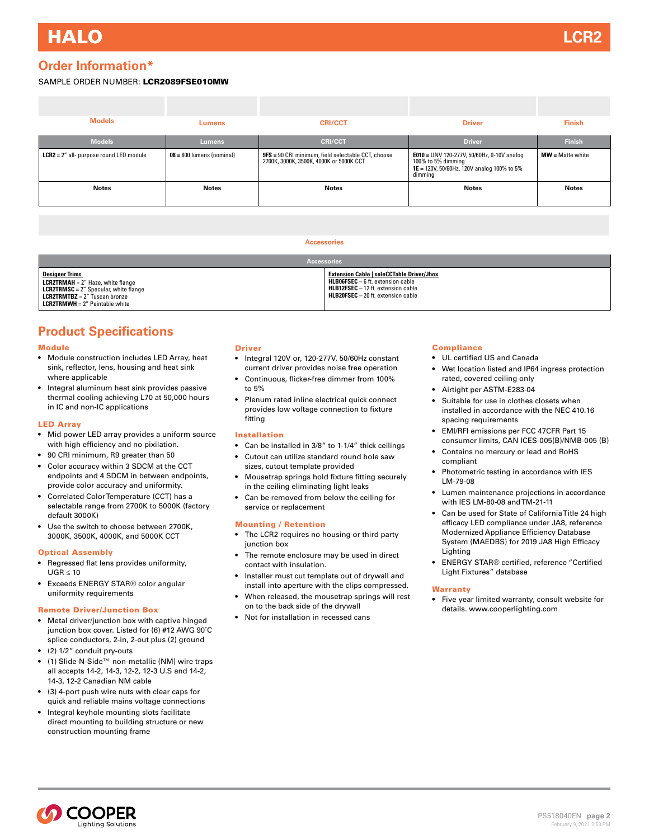# <span id="page-1-0"></span>**Order Information\***

#### SAMPLE ORDER NUMBER: LCR2089FSE010MW

| Lumens                      | <b>CRI/CCT</b>                                                                                       | <b>Driver</b>                                                                                                             | <b>Finish</b>       |
|-----------------------------|------------------------------------------------------------------------------------------------------|---------------------------------------------------------------------------------------------------------------------------|---------------------|
| Lumens                      | <b>CRI/CCT</b>                                                                                       | <b>Driver</b>                                                                                                             | <b>Finish</b>       |
| $08 = 800$ lumens (nominal) | <b>9FS</b> = 90 CRI minimum, field selectable CCT, choose<br>2700K, 3000K, 3500K, 4000K or 5000K CCT | E010 = UNV 120-277V, 50/60Hz, 0-10V analog<br>100% to 5% dimming<br>1E = 120V, 50/60Hz, 120V analog 100% to 5%<br>dimming | $MW = Matter white$ |
| <b>Notes</b>                | Notes                                                                                                | <b>Notes</b>                                                                                                              | <b>Notes</b>        |
|                             |                                                                                                      |                                                                                                                           |                     |

#### **Accessories**

| <b>Accessories</b>                                                                                                                                                                                             |                                                                                                                                                                                           |  |  |
|----------------------------------------------------------------------------------------------------------------------------------------------------------------------------------------------------------------|-------------------------------------------------------------------------------------------------------------------------------------------------------------------------------------------|--|--|
| <b>Designer Trims</b><br><b>LCR2TRMAH</b> = $2''$ Haze, white flange<br><b>LCR2TRMSC</b> = $2''$ Specular, white flange<br><b>LCR2TRMTBZ</b> = $2''$ Tuscan bronze<br><b>LCR2TRMWH</b> = $2''$ Paintable white | <b>Extension Cable   seleCCTable Driver/Jbox</b><br><b>HLB06FSEC</b> $-6$ ft. extension cable<br><b>HLB12FSEC</b> - 12 ft. extension cable<br><b>HLB20FSEC</b> $-$ 20 ft. extension cable |  |  |

# **Product Specifications**

#### Module

- Module construction includes LED Array, heat sink, reflector, lens, housing and heat sink where applicable
- Integral aluminum heat sink provides passive thermal cooling achieving L70 at 50,000 hours in IC and non-IC applications

#### LED Array

- Mid power LED array provides a uniform source with high efficiency and no pixilation.
- 90 CRI minimum, R9 greater than 50
- Color accuracy within 3 SDCM at the CCT endpoints and 4 SDCM in between endpoints, provide color accuracy and uniformity.
- Correlated Color Temperature (CCT) has a selectable range from 2700K to 5000K (factory default 3000K)
- Use the switch to choose between 2700K, 3000K, 3500K, 4000K, and 5000K CCT

#### Optical Assembly

- Regressed flat lens provides uniformity, UGR ≤ 10
- Exceeds ENERGY STAR® color angular uniformity requirements

#### Remote Driver/Junction Box

- Metal driver/junction box with captive hinged junction box cover. Listed for (6) #12 AWG 90˚C splice conductors, 2-in, 2-out plus (2) ground
- (2) 1/2" conduit pry-outs
- (1) Slide-N-Side™ non-metallic (NM) wire traps all accepts 14-2, 14-3, 12-2, 12-3 U.S and 14-2, 14-3, 12-2 Canadian NM cable
- (3) 4-port push wire nuts with clear caps for quick and reliable mains voltage connections
- Integral keyhole mounting slots facilitate direct mounting to building structure or new construction mounting frame

#### Driver

- Integral 120V or, 120-277V, 50/60Hz constant current driver provides noise free operation
- Continuous, flicker-free dimmer from 100% to 5%
- Plenum rated inline electrical quick connect provides low voltage connection to fixture fitting

#### Installation

- Can be installed in 3/8" to 1-1/4" thick ceilings
- Cutout can utilize standard round hole saw sizes, cutout template provided
- Mousetrap springs hold fixture fitting securely in the ceiling eliminating light leaks
- Can be removed from below the ceiling for service or replacement

#### Mounting / Retention

- The LCR2 requires no housing or third party junction box
- The remote enclosure may be used in direct contact with insulation.
- Installer must cut template out of drywall and install into aperture with the clips compressed.
- When released, the mousetrap springs will rest on to the back side of the drywall
- Not for installation in recessed cans

#### **Compliance**

- UL certified US and Canada
- Wet location listed and IP64 ingress protection rated, covered ceiling only
- Airtight per ASTM-E283-04
- Suitable for use in clothes closets when installed in accordance with the NEC 410.16 spacing requirements
- EMI/RFI emissions per FCC 47CFR Part 15 consumer limits, CAN ICES-005(B)/NMB-005 (B)
- Contains no mercury or lead and RoHS compliant
- Photometric testing in accordance with IES LM-79-08
- Lumen maintenance projections in accordance with IES LM-80-08 and TM-21-11
- Can be used for State of California Title 24 high efficacy LED compliance under JA8, reference Modernized Appliance Efficiency Database System (MAEDBS) for 2019 JA8 High Efficacy Lighting
- ENERGY STAR® certified, reference "Certified Light Fixtures" database

#### **Warranty**

• Five year limited warranty, consult website for details. www.cooperlighting.com